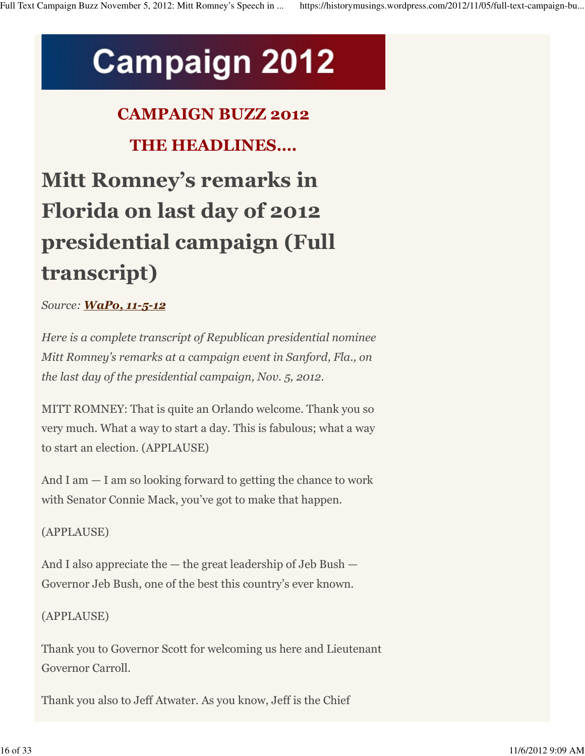# **Campaign 2012**

# CAMPAIGN BUZZ 2012

THE HEADLINES….

# Mitt Romney's remarks in Florida on last day of 2012 presidential campaign (Full transcript)

# Source: WaPo, 11-5-12

Here is a complete transcript of Republican presidential nominee Mitt Romney's remarks at a campaign event in Sanford, Fla., on the last day of the presidential campaign, Nov. 5, 2012.

MITT ROMNEY: That is quite an Orlando welcome. Thank you so very much. What a way to start a day. This is fabulous; what a way to start an election. (APPLAUSE)

And I am  $-$  I am so looking forward to getting the chance to work with Senator Connie Mack, you've got to make that happen.

# (APPLAUSE)

And I also appreciate the  $-$  the great leadership of Jeb Bush  $-$ Governor Jeb Bush, one of the best this country's ever known.

# (APPLAUSE)

Thank you to Governor Scott for welcoming us here and Lieutenant Governor Carroll.

Thank you also to Jeff Atwater. As you know, Jeff is the Chief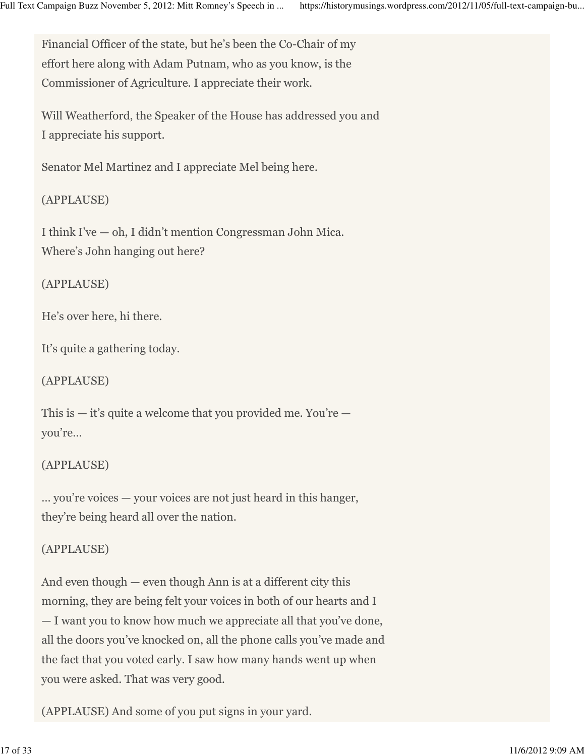Financial Officer of the state, but he's been the Co-Chair of my effort here along with Adam Putnam, who as you know, is the Commissioner of Agriculture. I appreciate their work.

Will Weatherford, the Speaker of the House has addressed you and I appreciate his support.

Senator Mel Martinez and I appreciate Mel being here.

# (APPLAUSE)

I think I've — oh, I didn't mention Congressman John Mica. Where's John hanging out here?

# (APPLAUSE)

He's over here, hi there.

It's quite a gathering today.

# (APPLAUSE)

This is  $-$  it's quite a welcome that you provided me. You're  $$ you're…

# (APPLAUSE)

… you're voices — your voices are not just heard in this hanger, they're being heard all over the nation.

# (APPLAUSE)

And even though — even though Ann is at a different city this morning, they are being felt your voices in both of our hearts and I — I want you to know how much we appreciate all that you've done, all the doors you've knocked on, all the phone calls you've made and the fact that you voted early. I saw how many hands went up when you were asked. That was very good.

(APPLAUSE) And some of you put signs in your yard.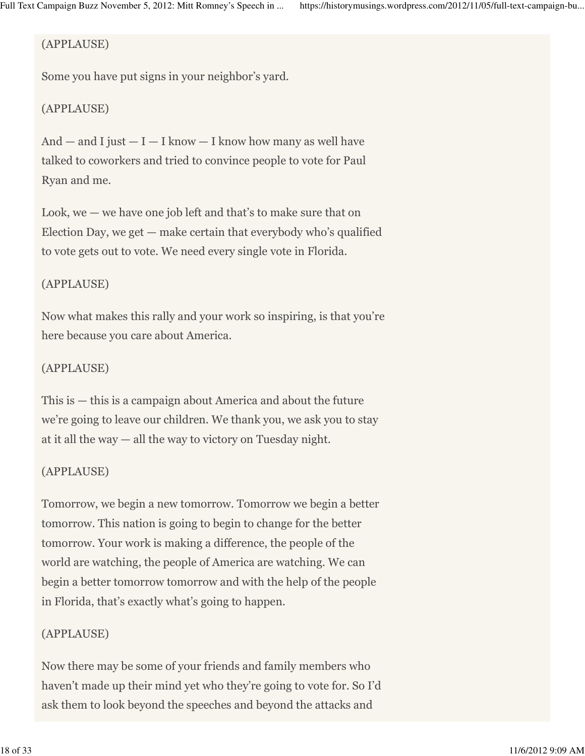Some you have put signs in your neighbor's yard.

#### (APPLAUSE)

And — and I just — I — I know — I know how many as well have talked to coworkers and tried to convince people to vote for Paul Ryan and me.

Look, we — we have one job left and that's to make sure that on Election Day, we get  $-$  make certain that everybody who's qualified to vote gets out to vote. We need every single vote in Florida.

#### (APPLAUSE)

Now what makes this rally and your work so inspiring, is that you're here because you care about America.

#### (APPLAUSE)

This is — this is a campaign about America and about the future we're going to leave our children. We thank you, we ask you to stay at it all the way — all the way to victory on Tuesday night.

#### (APPLAUSE)

Tomorrow, we begin a new tomorrow. Tomorrow we begin a better tomorrow. This nation is going to begin to change for the better tomorrow. Your work is making a difference, the people of the world are watching, the people of America are watching. We can begin a better tomorrow tomorrow and with the help of the people in Florida, that's exactly what's going to happen.

#### (APPLAUSE)

Now there may be some of your friends and family members who haven't made up their mind yet who they're going to vote for. So I'd ask them to look beyond the speeches and beyond the attacks and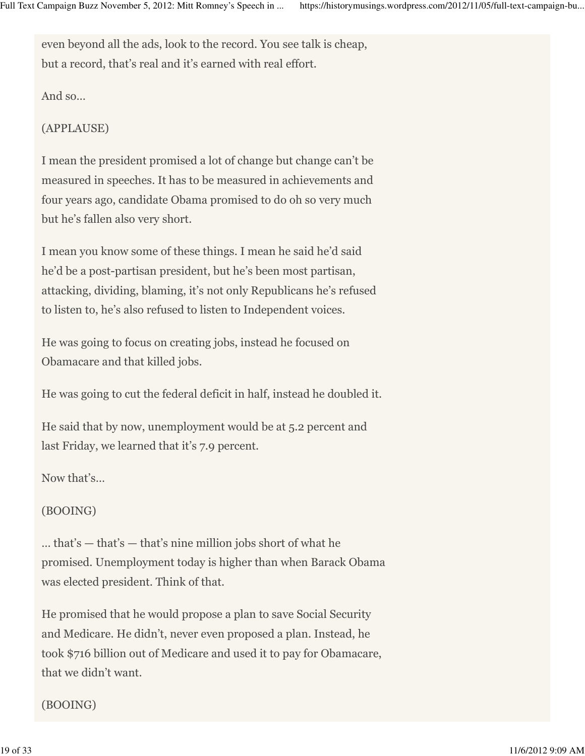even beyond all the ads, look to the record. You see talk is cheap, but a record, that's real and it's earned with real effort.

And so…

(APPLAUSE)

I mean the president promised a lot of change but change can't be measured in speeches. It has to be measured in achievements and four years ago, candidate Obama promised to do oh so very much but he's fallen also very short.

I mean you know some of these things. I mean he said he'd said he'd be a post-partisan president, but he's been most partisan, attacking, dividing, blaming, it's not only Republicans he's refused to listen to, he's also refused to listen to Independent voices.

He was going to focus on creating jobs, instead he focused on Obamacare and that killed jobs.

He was going to cut the federal deficit in half, instead he doubled it.

He said that by now, unemployment would be at 5.2 percent and last Friday, we learned that it's 7.9 percent.

Now that's…

(BOOING)

… that's — that's — that's nine million jobs short of what he promised. Unemployment today is higher than when Barack Obama was elected president. Think of that.

He promised that he would propose a plan to save Social Security and Medicare. He didn't, never even proposed a plan. Instead, he took \$716 billion out of Medicare and used it to pay for Obamacare, that we didn't want.

(BOOING)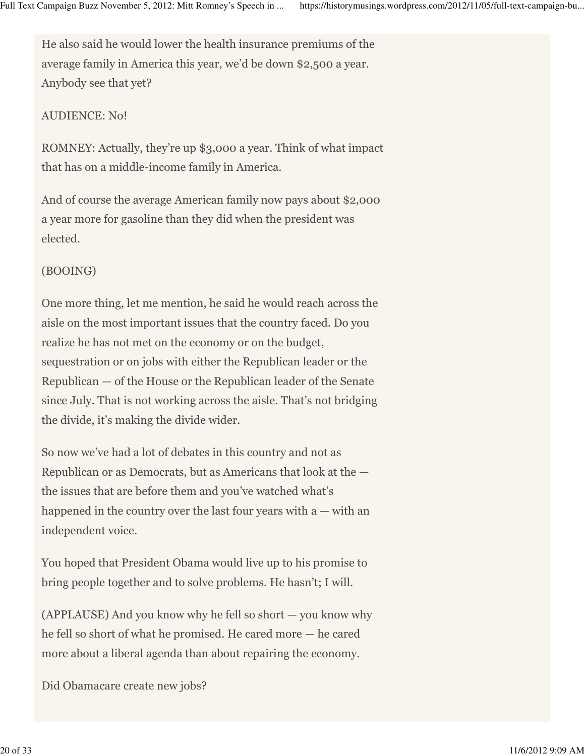He also said he would lower the health insurance premiums of the average family in America this year, we'd be down \$2,500 a year. Anybody see that yet?

#### AUDIENCE: No!

ROMNEY: Actually, they're up \$3,000 a year. Think of what impact that has on a middle-income family in America.

And of course the average American family now pays about \$2,000 a year more for gasoline than they did when the president was elected.

#### (BOOING)

One more thing, let me mention, he said he would reach across the aisle on the most important issues that the country faced. Do you realize he has not met on the economy or on the budget, sequestration or on jobs with either the Republican leader or the Republican — of the House or the Republican leader of the Senate since July. That is not working across the aisle. That's not bridging the divide, it's making the divide wider.

So now we've had a lot of debates in this country and not as Republican or as Democrats, but as Americans that look at the the issues that are before them and you've watched what's happened in the country over the last four years with  $a - \text{with an}$ independent voice.

You hoped that President Obama would live up to his promise to bring people together and to solve problems. He hasn't; I will.

(APPLAUSE) And you know why he fell so short — you know why he fell so short of what he promised. He cared more — he cared more about a liberal agenda than about repairing the economy.

Did Obamacare create new jobs?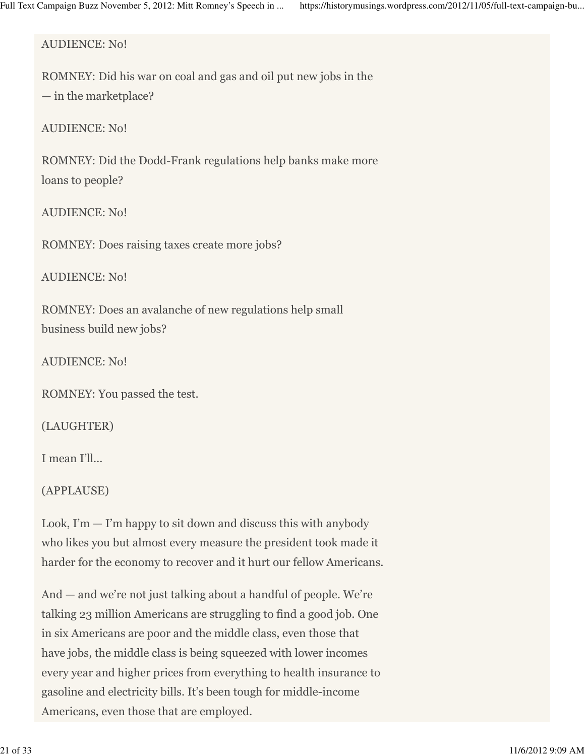#### AUDIENCE: No!

ROMNEY: Did his war on coal and gas and oil put new jobs in the — in the marketplace?

AUDIENCE: No!

ROMNEY: Did the Dodd-Frank regulations help banks make more loans to people?

AUDIENCE: No!

ROMNEY: Does raising taxes create more jobs?

AUDIENCE: No!

ROMNEY: Does an avalanche of new regulations help small business build new jobs?

AUDIENCE: No!

ROMNEY: You passed the test.

(LAUGHTER)

I mean I'll…

(APPLAUSE)

Look,  $\Gamma m - \Gamma m$  happy to sit down and discuss this with anybody who likes you but almost every measure the president took made it harder for the economy to recover and it hurt our fellow Americans.

And — and we're not just talking about a handful of people. We're talking 23 million Americans are struggling to find a good job. One in six Americans are poor and the middle class, even those that have jobs, the middle class is being squeezed with lower incomes every year and higher prices from everything to health insurance to gasoline and electricity bills. It's been tough for middle-income Americans, even those that are employed.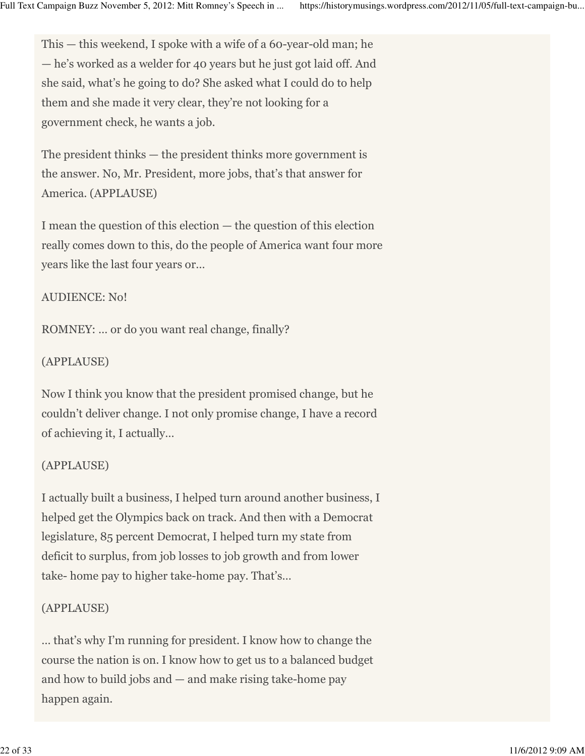This — this weekend, I spoke with a wife of a 60-year-old man; he — he's worked as a welder for 40 years but he just got laid off. And she said, what's he going to do? She asked what I could do to help them and she made it very clear, they're not looking for a government check, he wants a job.

The president thinks — the president thinks more government is the answer. No, Mr. President, more jobs, that's that answer for America. (APPLAUSE)

I mean the question of this election — the question of this election really comes down to this, do the people of America want four more years like the last four years or…

#### AUDIENCE: No!

ROMNEY: … or do you want real change, finally?

#### (APPLAUSE)

Now I think you know that the president promised change, but he couldn't deliver change. I not only promise change, I have a record of achieving it, I actually…

#### (APPLAUSE)

I actually built a business, I helped turn around another business, I helped get the Olympics back on track. And then with a Democrat legislature, 85 percent Democrat, I helped turn my state from deficit to surplus, from job losses to job growth and from lower take- home pay to higher take-home pay. That's…

# (APPLAUSE)

… that's why I'm running for president. I know how to change the course the nation is on. I know how to get us to a balanced budget and how to build jobs and — and make rising take-home pay happen again.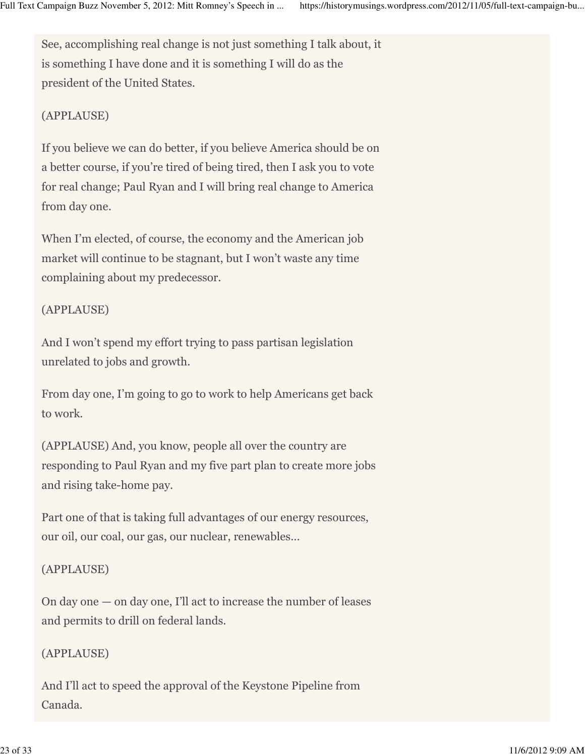See, accomplishing real change is not just something I talk about, it is something I have done and it is something I will do as the president of the United States.

#### (APPLAUSE)

If you believe we can do better, if you believe America should be on a better course, if you're tired of being tired, then I ask you to vote for real change; Paul Ryan and I will bring real change to America from day one.

When I'm elected, of course, the economy and the American job market will continue to be stagnant, but I won't waste any time complaining about my predecessor.

#### (APPLAUSE)

And I won't spend my effort trying to pass partisan legislation unrelated to jobs and growth.

From day one, I'm going to go to work to help Americans get back to work.

(APPLAUSE) And, you know, people all over the country are responding to Paul Ryan and my five part plan to create more jobs and rising take-home pay.

Part one of that is taking full advantages of our energy resources, our oil, our coal, our gas, our nuclear, renewables…

#### (APPLAUSE)

On day one — on day one, I'll act to increase the number of leases and permits to drill on federal lands.

#### (APPLAUSE)

And I'll act to speed the approval of the Keystone Pipeline from Canada.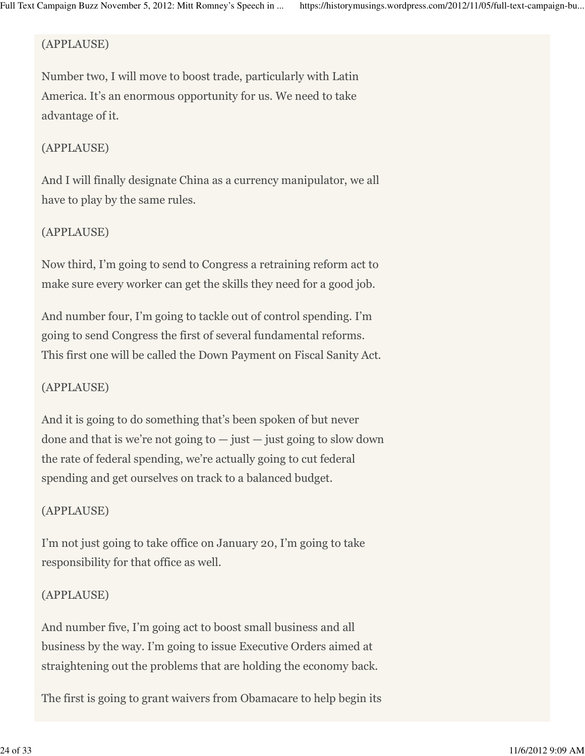Number two, I will move to boost trade, particularly with Latin America. It's an enormous opportunity for us. We need to take advantage of it.

#### (APPLAUSE)

And I will finally designate China as a currency manipulator, we all have to play by the same rules.

#### (APPLAUSE)

Now third, I'm going to send to Congress a retraining reform act to make sure every worker can get the skills they need for a good job.

And number four, I'm going to tackle out of control spending. I'm going to send Congress the first of several fundamental reforms. This first one will be called the Down Payment on Fiscal Sanity Act.

#### (APPLAUSE)

And it is going to do something that's been spoken of but never done and that is we're not going to  $-$  just  $-$  just going to slow down the rate of federal spending, we're actually going to cut federal spending and get ourselves on track to a balanced budget.

#### (APPLAUSE)

I'm not just going to take office on January 20, I'm going to take responsibility for that office as well.

#### (APPLAUSE)

And number five, I'm going act to boost small business and all business by the way. I'm going to issue Executive Orders aimed at straightening out the problems that are holding the economy back.

The first is going to grant waivers from Obamacare to help begin its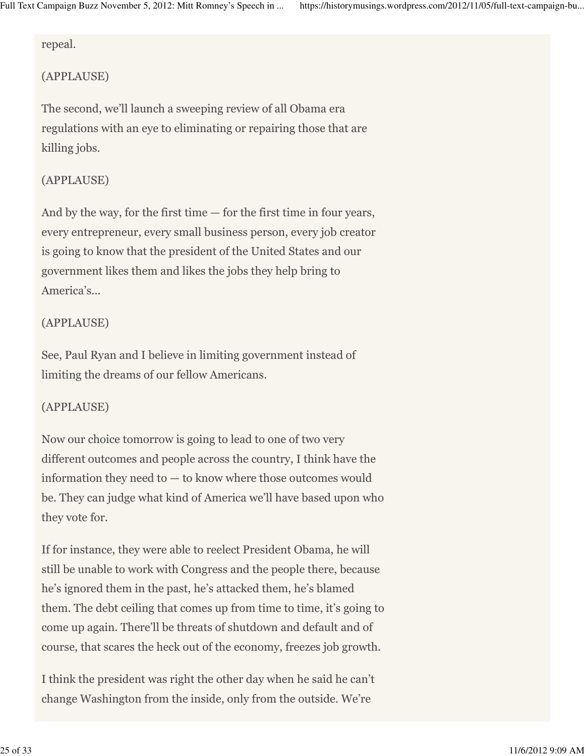#### repeal.

# (APPLAUSE)

The second, we'll launch a sweeping review of all Obama era regulations with an eye to eliminating or repairing those that are killing jobs.

#### (APPLAUSE)

And by the way, for the first time  $-$  for the first time in four years, every entrepreneur, every small business person, every job creator is going to know that the president of the United States and our government likes them and likes the jobs they help bring to America's…

#### (APPLAUSE)

See, Paul Ryan and I believe in limiting government instead of limiting the dreams of our fellow Americans.

#### (APPLAUSE)

Now our choice tomorrow is going to lead to one of two very different outcomes and people across the country, I think have the information they need to — to know where those outcomes would be. They can judge what kind of America we'll have based upon who they vote for.

If for instance, they were able to reelect President Obama, he will still be unable to work with Congress and the people there, because he's ignored them in the past, he's attacked them, he's blamed them. The debt ceiling that comes up from time to time, it's going to come up again. There'll be threats of shutdown and default and of course, that scares the heck out of the economy, freezes job growth.

I think the president was right the other day when he said he can't change Washington from the inside, only from the outside. We're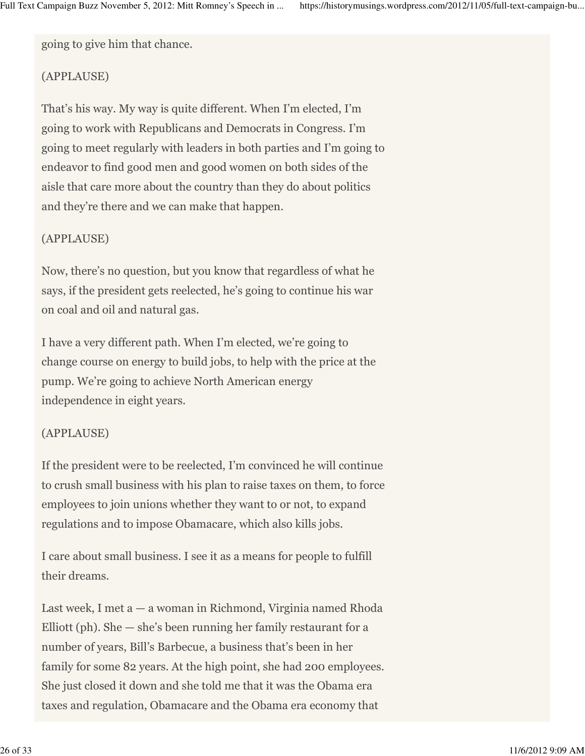going to give him that chance.

# (APPLAUSE)

That's his way. My way is quite different. When I'm elected, I'm going to work with Republicans and Democrats in Congress. I'm going to meet regularly with leaders in both parties and I'm going to endeavor to find good men and good women on both sides of the aisle that care more about the country than they do about politics and they're there and we can make that happen.

# (APPLAUSE)

Now, there's no question, but you know that regardless of what he says, if the president gets reelected, he's going to continue his war on coal and oil and natural gas.

I have a very different path. When I'm elected, we're going to change course on energy to build jobs, to help with the price at the pump. We're going to achieve North American energy independence in eight years.

# (APPLAUSE)

If the president were to be reelected, I'm convinced he will continue to crush small business with his plan to raise taxes on them, to force employees to join unions whether they want to or not, to expand regulations and to impose Obamacare, which also kills jobs.

I care about small business. I see it as a means for people to fulfill their dreams.

Last week, I met  $a - a$  woman in Richmond, Virginia named Rhoda Elliott (ph). She  $-$  she's been running her family restaurant for a number of years, Bill's Barbecue, a business that's been in her family for some 82 years. At the high point, she had 200 employees. She just closed it down and she told me that it was the Obama era taxes and regulation, Obamacare and the Obama era economy that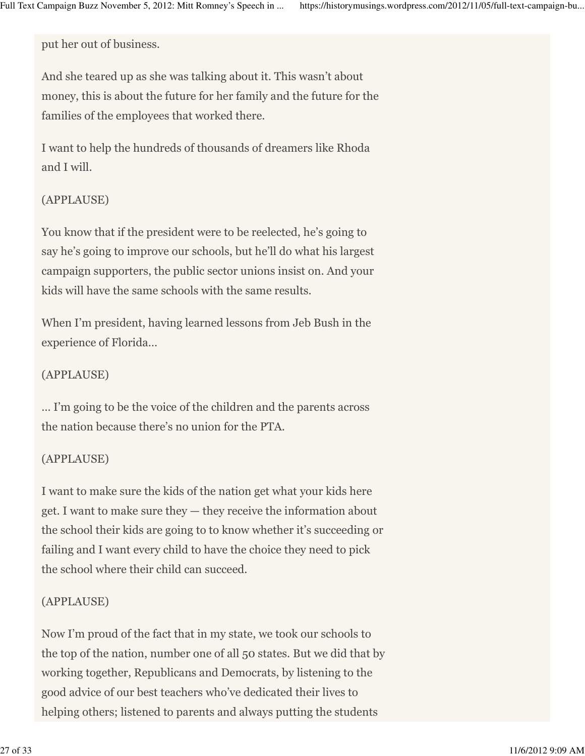put her out of business.

And she teared up as she was talking about it. This wasn't about money, this is about the future for her family and the future for the families of the employees that worked there.

I want to help the hundreds of thousands of dreamers like Rhoda and I will.

#### (APPLAUSE)

You know that if the president were to be reelected, he's going to say he's going to improve our schools, but he'll do what his largest campaign supporters, the public sector unions insist on. And your kids will have the same schools with the same results.

When I'm president, having learned lessons from Jeb Bush in the experience of Florida…

#### (APPLAUSE)

… I'm going to be the voice of the children and the parents across the nation because there's no union for the PTA.

#### (APPLAUSE)

I want to make sure the kids of the nation get what your kids here get. I want to make sure they — they receive the information about the school their kids are going to to know whether it's succeeding or failing and I want every child to have the choice they need to pick the school where their child can succeed.

#### (APPLAUSE)

Now I'm proud of the fact that in my state, we took our schools to the top of the nation, number one of all 50 states. But we did that by working together, Republicans and Democrats, by listening to the good advice of our best teachers who've dedicated their lives to helping others; listened to parents and always putting the students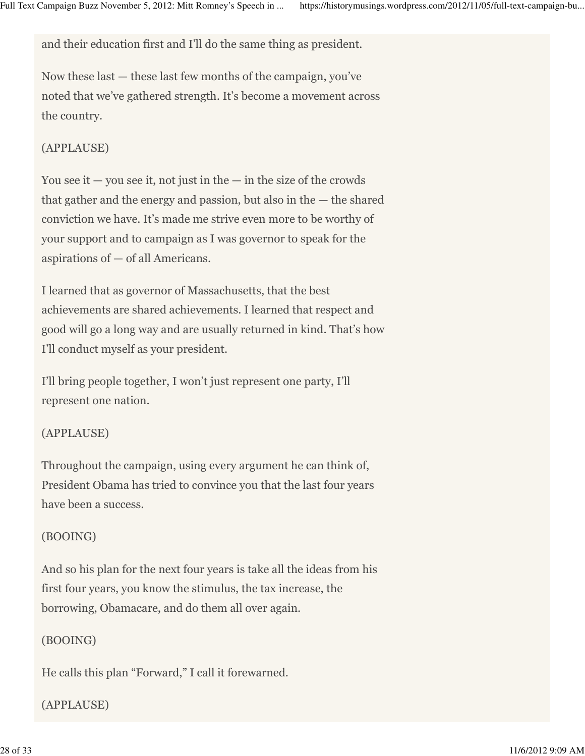and their education first and I'll do the same thing as president.

Now these last — these last few months of the campaign, you've noted that we've gathered strength. It's become a movement across the country.

#### (APPLAUSE)

You see it  $-$  you see it, not just in the  $-$  in the size of the crowds that gather and the energy and passion, but also in the — the shared conviction we have. It's made me strive even more to be worthy of your support and to campaign as I was governor to speak for the aspirations of — of all Americans.

I learned that as governor of Massachusetts, that the best achievements are shared achievements. I learned that respect and good will go a long way and are usually returned in kind. That's how I'll conduct myself as your president.

I'll bring people together, I won't just represent one party, I'll represent one nation.

#### (APPLAUSE)

Throughout the campaign, using every argument he can think of, President Obama has tried to convince you that the last four years have been a success.

#### (BOOING)

And so his plan for the next four years is take all the ideas from his first four years, you know the stimulus, the tax increase, the borrowing, Obamacare, and do them all over again.

# (BOOING)

He calls this plan "Forward," I call it forewarned.

# (APPLAUSE)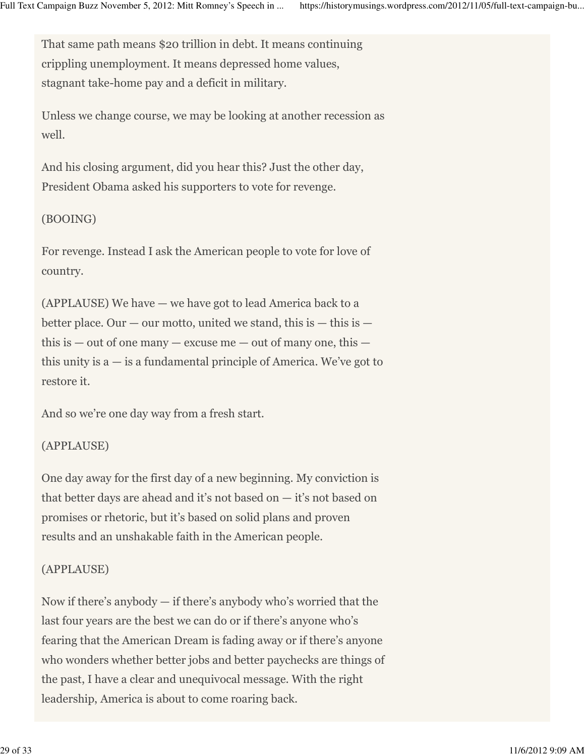That same path means \$20 trillion in debt. It means continuing crippling unemployment. It means depressed home values, stagnant take-home pay and a deficit in military.

Unless we change course, we may be looking at another recession as well.

And his closing argument, did you hear this? Just the other day, President Obama asked his supporters to vote for revenge.

#### (BOOING)

For revenge. Instead I ask the American people to vote for love of country.

(APPLAUSE) We have — we have got to lead America back to a better place. Our  $-$  our motto, united we stand, this is  $-$  this is  $$ this is  $-$  out of one many  $-$  excuse me  $-$  out of many one, this  $$ this unity is  $a - i s a$  fundamental principle of America. We've got to restore it.

And so we're one day way from a fresh start.

#### (APPLAUSE)

One day away for the first day of a new beginning. My conviction is that better days are ahead and it's not based on — it's not based on promises or rhetoric, but it's based on solid plans and proven results and an unshakable faith in the American people.

#### (APPLAUSE)

Now if there's anybody — if there's anybody who's worried that the last four years are the best we can do or if there's anyone who's fearing that the American Dream is fading away or if there's anyone who wonders whether better jobs and better paychecks are things of the past, I have a clear and unequivocal message. With the right leadership, America is about to come roaring back.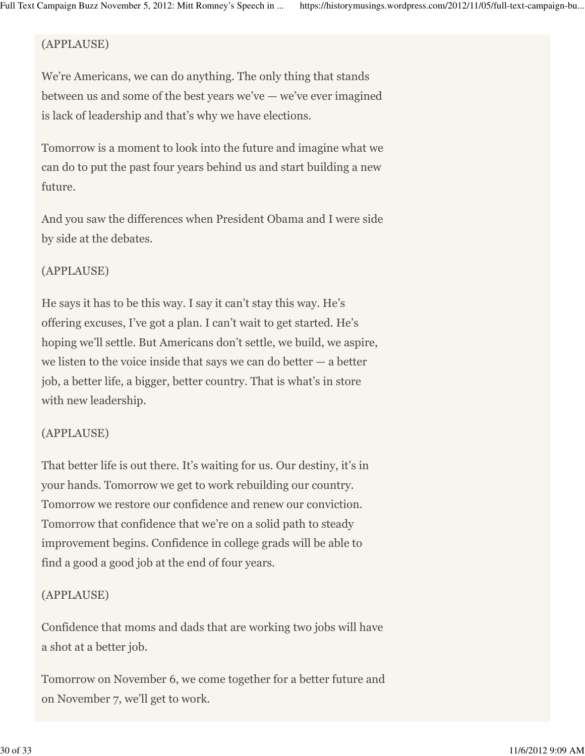We're Americans, we can do anything. The only thing that stands between us and some of the best years we've — we've ever imagined is lack of leadership and that's why we have elections.

Tomorrow is a moment to look into the future and imagine what we can do to put the past four years behind us and start building a new future.

And you saw the differences when President Obama and I were side by side at the debates.

#### (APPLAUSE)

He says it has to be this way. I say it can't stay this way. He's offering excuses, I've got a plan. I can't wait to get started. He's hoping we'll settle. But Americans don't settle, we build, we aspire, we listen to the voice inside that says we can do better — a better job, a better life, a bigger, better country. That is what's in store with new leadership.

#### (APPLAUSE)

That better life is out there. It's waiting for us. Our destiny, it's in your hands. Tomorrow we get to work rebuilding our country. Tomorrow we restore our confidence and renew our conviction. Tomorrow that confidence that we're on a solid path to steady improvement begins. Confidence in college grads will be able to find a good a good job at the end of four years.

#### (APPLAUSE)

Confidence that moms and dads that are working two jobs will have a shot at a better job.

Tomorrow on November 6, we come together for a better future and on November 7, we'll get to work.